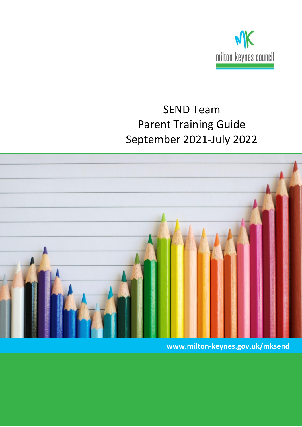

# SEND Team Parent Training Guide September 2021-July 2022



**www.milton-keynes.gov.uk/mksend**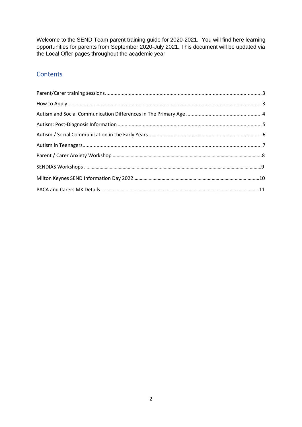Welcome to the SEND Team parent training guide for 2020-2021. You will find here learning opportunities for parents from September 2020-July 2021. This document will be updated via the Local Offer pages throughout the academic year.

#### **Contents**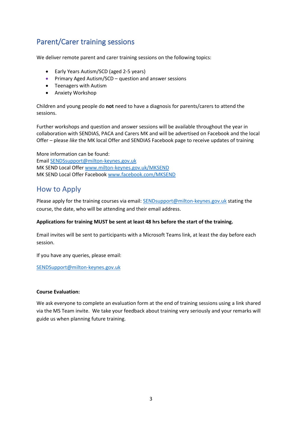# <span id="page-2-0"></span>Parent/Carer training sessions

We deliver remote parent and carer training sessions on the following topics:

- Early Years Autism/SCD (aged 2-5 years)
- Primary Aged Autism/SCD question and answer sessions
- Teenagers with Autism
- Anxiety Workshop

Children and young people do **not** need to have a diagnosis for parents/carers to attend the sessions.

Further workshops and question and answer sessions will be available throughout the year in collaboration with SENDIAS, PACA and Carers MK and will be advertised on Facebook and the local Offer – please *like* the MK local Offer and SENDIAS Facebook page to receive updates of training

More information can be found: Email [SENDSsupport@milton-keynes.gov.uk](mailto:SENDSsupport@milton-keynes.gov.uk) MK SEND Local Offe[r www.milton-keynes.gov.uk/MKSEND](http://www.milton-keynes.gov.uk/MKSEND)  MK SEND Local Offer Facebook [www.facebook.com/MKSEND](file:///C:/Users/mw61924/AppData/Local/Microsoft/Windows/Temporary%20Internet%20Files/Content.Outlook/ZVNZSDJ3/www.facebook.com/MKSEND)

#### <span id="page-2-1"></span>How to Apply

Please apply for the training courses via email: [SENDsupport@milton-keynes.gov.uk](mailto:SENDsupport@milton-keynes.gov.uk) stating the course, the date, who will be attending and their email address.

#### **Applications for training MUST be sent at least 48 hrs before the start of the training.**

Email invites will be sent to participants with a Microsoft Teams link, at least the day before each session.

If you have any queries, please email:

SENDSupport@milton-keynes.gov.uk

#### **Course Evaluation:**

We ask everyone to complete an evaluation form at the end of training sessions using a link shared via the MS Team invite. We take your feedback about training very seriously and your remarks will guide us when planning future training.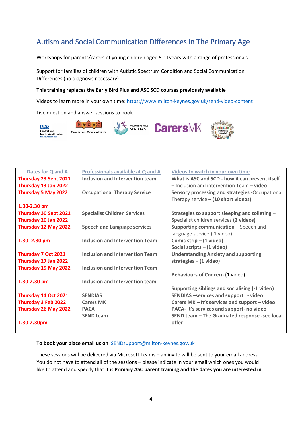# <span id="page-3-0"></span>Autism and Social Communication Differences in The Primary Age

Workshops for parents/carers of young children aged 5-11years with a range of professionals

Support for families of children with Autistic Spectrum Condition and Social Communication Differences (no diagnosis necessary)

#### **This training replaces the Early Bird Plus and ASC SCD courses previously available**

Videos to learn more in your own time:<https://www.milton-keynes.gov.uk/send-video-content>

Live question and answer sessions to book



| Dates for Q and A     | Professionals available at Q and A     | <b>Videos to watch in your own time</b>         |
|-----------------------|----------------------------------------|-------------------------------------------------|
| Thursday 23 Sept 2021 | Inclusion and Intervention team        | What is ASC and SCD - how it can present itself |
| Thursday 13 Jan 2022  |                                        | - Inclusion and intervention Team - video       |
| Thursday 5 May 2022   | <b>Occupational Therapy Service</b>    | Sensory processing and strategies -Occupational |
|                       |                                        | Therapy service $-$ (10 short videos)           |
| 1.30-2.30 pm          |                                        |                                                 |
| Thursday 30 Sept 2021 | <b>Specialist Children Services</b>    | Strategies to support sleeping and toileting -  |
| Thursday 20 Jan 2022  |                                        | Specialist children services (2 videos)         |
| Thursday 12 May 2022  | <b>Speech and Language services</b>    | Supporting communication - Speech and           |
|                       |                                        | language service-(1 video)                      |
| 1.30-2.30 pm          | <b>Inclusion and Intervention Team</b> | Comic strip $- (1$ video)                       |
|                       |                                        | Social scripts $- (1$ video)                    |
| Thursday 7 Oct 2021   | <b>Inclusion and Intervention Team</b> | <b>Understanding Anxiety and supporting</b>     |
| Thursday 27 Jan 2022  |                                        | strategies $-$ (1 video)                        |
| Thursday 19 May 2022  | <b>Inclusion and Intervention Team</b> |                                                 |
|                       |                                        | <b>Behaviours of Concern (1 video)</b>          |
| 1.30-2.30 pm          | Inclusion and Intervention team        |                                                 |
|                       |                                        | Supporting siblings and socialising (-1 video)  |
| Thursday 14 Oct 2021  | <b>SENDIAS</b>                         | SENDIAS-services and support - video            |
| Thursday 3 Feb 2022   | <b>Carers MK</b>                       | Carers MK - It's services and support - video   |
| Thursday 26 May 2022  | <b>PACA</b>                            | PACA- It's services and support- no video       |
|                       | <b>SEND team</b>                       | SEND team - The Graduated response -see local   |
| 1.30-2.30pm           |                                        | offer                                           |
|                       |                                        |                                                 |

#### **To book your place email us on** [SENDsupport@milton-keynes.gov.uk](mailto:SENDsupport@milton-keynes.gov.uk)

These sessions will be delivered via Microsoft Teams – an invite will be sent to your email address. You do not have to attend all of the sessions – please indicate in your email which ones you would like to attend and specify that it is **Primary ASC parent training and the dates you are interested in**.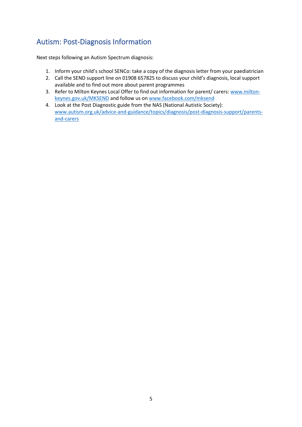# <span id="page-4-0"></span>Autism: Post-Diagnosis Information

Next steps following an Autism Spectrum diagnosis:

- 1. Inform your child's school SENCo: take a copy of the diagnosis letter from your paediatrician
- 2. Call the SEND support line on 01908 657825 to discuss your child's diagnosis, local support available and to find out more about parent programmes
- 3. Refer to Milton Keynes Local Offer to find out information for parent/ carers: [www.milton](http://www.milton-keynes.gov.uk/MKSEND)[keynes.gov.uk/MKSEND](http://www.milton-keynes.gov.uk/MKSEND) and follow us o[n www.facebook.com/mksend](http://www.facebook.com/mksend)
- 4. Look at the Post Diagnostic guide from the NAS (National Autistic Society): [www.autism.org.uk/advice-and-guidance/topics/diagnosis/post-diagnosis-support/parents](http://www.autism.org.uk/advice-and-guidance/topics/diagnosis/post-diagnosis-support/parents-and-carers)[and-carers](http://www.autism.org.uk/advice-and-guidance/topics/diagnosis/post-diagnosis-support/parents-and-carers)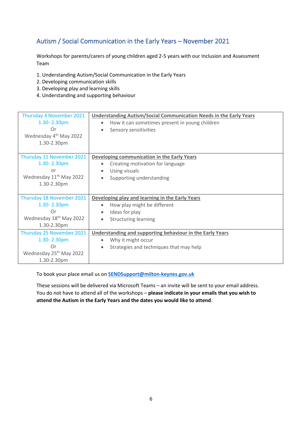### <span id="page-5-0"></span>Autism / Social Communication in the Early Years – November 2021

Workshops for parents/carers of young children aged 2-5 years with our Inclusion and Assessment Team

- 1. Understanding Autism/Social Communication in the Early Years
- 2. Developing communication skills
- 3. Developing play and learning skills
- 4. Understanding and supporting behaviour

| Thursday 4 November 2021<br>1.30-2.30pm<br>Or<br>Wednesday 4 <sup>th</sup> May 2022<br>1.30-2.30pm   | <b>Understanding Autism/Social Communication Needs in the Early Years</b><br>How it can sometimes present in young children<br>Sensory sensitivities |  |
|------------------------------------------------------------------------------------------------------|------------------------------------------------------------------------------------------------------------------------------------------------------|--|
| Thursday 11 November 2021<br>1.30-2.30pm<br>or<br>Wednesday 11 <sup>th</sup> May 2022<br>1.30-2.30pm | Developing communication in the Early Years<br>Creating motivation for language<br>Using visuals<br>Supporting understanding<br>$\bullet$            |  |
| Thursday 18 November 2021<br>1.30-2.30pm<br>Or<br>Wednesday 18 <sup>th</sup> May 2022<br>1.30-2.30pm | Developing play and learning in the Early Years<br>How play might be different<br>Ideas for play<br><b>Structuring learning</b>                      |  |
| Thursday 25 November 2021<br>1.30-2.30pm<br>Or<br>Wednesday 25 <sup>th</sup> May 2022<br>1.30-2.30pm | Understanding and supporting behaviour in the Early Years<br>Why it might occur<br>Strategies and techniques that may help                           |  |

To book your place email us on **[SENDSupport@milton-keynes.gov.uk](mailto:SENDSupport@milton-keynes.gov.uk)**

These sessions will be delivered via Microsoft Teams – an invite will be sent to your email address. You do not have to attend all of the workshops – **please indicate in your emails that you wish to attend the Autism in the Early Years and the dates you would like to attend**.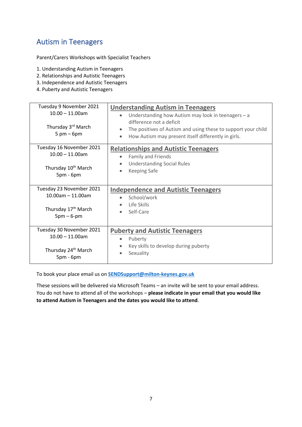### <span id="page-6-0"></span>Autism in Teenagers

Parent/Carers Workshops with Specialist Teachers

- 1. Understanding Autism in Teenagers
- 2. Relationships and Autistic Teenagers
- 3. Independence and Autistic Teenagers
- 4. Puberty and Autistic Teenagers

| Tuesday 9 November 2021<br>$10.00 - 11.00$ am<br>Thursday 3 <sup>rd</sup> March<br>$5 \text{ pm} - 6 \text{pm}$ | <b>Understanding Autism in Teenagers</b><br>Understanding how Autism may look in teenagers - a<br>difference not a deficit<br>The positives of Autism and using these to support your child<br>$\bullet$<br>How Autism may present itself differently in girls.<br>$\bullet$ |  |  |
|-----------------------------------------------------------------------------------------------------------------|------------------------------------------------------------------------------------------------------------------------------------------------------------------------------------------------------------------------------------------------------------------------------|--|--|
| Tuesday 16 November 2021<br>$10.00 - 11.00$ am<br>Thursday 10 <sup>th</sup> March<br>$5pm - 6pm$                | <b>Relationships and Autistic Teenagers</b><br>Family and Friends<br><b>Understanding Social Rules</b><br>$\bullet$<br><b>Keeping Safe</b>                                                                                                                                   |  |  |
| Tuesday 23 November 2021<br>$10.00$ am $-11.00$ am<br>Thursday 17 <sup>th</sup> March<br>$5pm-6-pm$             | <b>Independence and Autistic Teenagers</b><br>School/work<br>Life Skills<br>Self-Care                                                                                                                                                                                        |  |  |
| Tuesday 30 November 2021<br>$10.00 - 11.00$ am<br>Thursday 24 <sup>th</sup> March<br>$5pm - 6pm$                | <b>Puberty and Autistic Teenagers</b><br>Puberty<br>$\bullet$<br>Key skills to develop during puberty<br>Sexuality                                                                                                                                                           |  |  |

To book your place email us on **[SENDSupport@milton-keynes.gov.uk](mailto:SENDSupport@milton-keynes.gov.uk)**

These sessions will be delivered via Microsoft Teams – an invite will be sent to your email address. You do not have to attend all of the workshops – **please indicate in your email that you would like to attend Autism in Teenagers and the dates you would like to attend**.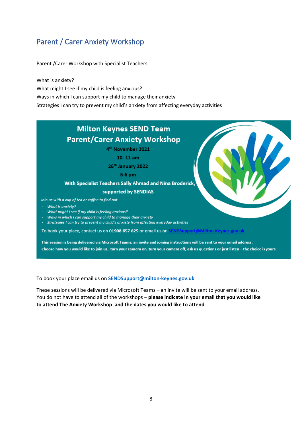# Parent / Carer Anxiety Workshop

Parent /Carer Workshop with Specialist Teachers

What is anxiety?

What might I see if my child is feeling anxious?

Ways in which I can support my child to manage their anxiety

Strategies I can try to prevent my child's anxiety from affecting everyday activities

#### **Milton Keynes SEND Team Parent/Carer Anxiety Workshop** 4<sup>th</sup> November 2021  $10-11$  am 26th January 2022 5-6 pm With Specialist Teachers Sally Ahmad and Nina Broderick, supported by SENDIAS Join us with a cup of tea or coffee to find out... - What is anxiety? - What might I see if my child is feeling anxious? - Ways in which I can support my child to manage their anxiety - Strategies I can try to prevent my child's anxiety from affecting everyday activities To book your place, contact us on 01908 657 825 or email us on This session is being delivered via Microsoft Teams; an invite and joining instructions will be sent to your email address. Choose how you would like to join us...turn your camera on, turn your camera off, ask us questions or just listen - the choice is yours.

To book your place email us on **[SENDSupport@milton-keynes.gov.uk](mailto:SENDSupport@milton-keynes.gov.uk)**

These sessions will be delivered via Microsoft Teams – an invite will be sent to your email address. You do not have to attend all of the workshops – **please indicate in your email that you would like to attend The Anxiety Workshop and the dates you would like to attend**.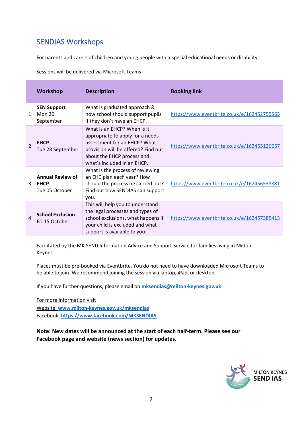### SENDIAS Workshops

For parents and carers of children and young people with a special educational needs or disability.

Sessions will be delivered via Microsoft Teams

|                          | <b>Workshop</b>                                          | <b>Description</b>                                                                                                                                                                                  | <b>Booking link</b>                         |
|--------------------------|----------------------------------------------------------|-----------------------------------------------------------------------------------------------------------------------------------------------------------------------------------------------------|---------------------------------------------|
| $\mathbf{1}$             | <b>SEN Support</b><br><b>Mon 20</b><br>September         | What is graduated approach &<br>how school should support pupils<br>if they don't have an EHCP.                                                                                                     | https://www.eventbrite.co.uk/e/162452755565 |
| $\overline{\phantom{0}}$ | <b>EHCP</b><br>Tue 28 September                          | What is an EHCP? When is it<br>appropriate to apply for a needs<br>assessment for an EHCP? What<br>provision will be offered? Find out<br>about the EHCP process and<br>what's included in an EHCP. | https://www.eventbrite.co.uk/e/162455126657 |
| 3                        | <b>Annual Review of</b><br><b>EHCP</b><br>Tue 05 October | What is the process of reviewing<br>an EHC plan each year? How<br>should the process be carried out?<br>Find out how SENDIAS can support<br>you.                                                    | https://www.eventbrite.co.uk/e/162456538881 |
| 4                        | <b>School Exclusion</b><br>Fri 15 October                | This will help you to understand<br>the legal processes and types of<br>school exclusions, what happens if<br>your child is excluded and what<br>support is available to you.                       | https://www.eventbrite.co.uk/e/162457385413 |

Facilitated by the MK SEND Information Advice and Support Service for families living in Milton Keynes.

Places must be pre-booked via Eventbrite. You do not need to have downloaded Microsoft Teams to be able to join. We recommend joining the session via laptop, iPad, or desktop.

If you have further questions, please email on **[mksendias@milton-keynes.gov.uk](mailto:mksendias@milton-keynes.gov.uk)**

For more information visit Website: **[www.milton-keynes.gov.uk/mksendias](http://www.milton-keynes.gov.uk/mksendias)** Facebook: **https://www.facebook.com/MKSENDIAS**

**Note: New dates will be announced at the start of each half-term. Please see our Facebook page and website (news section) for updates.**

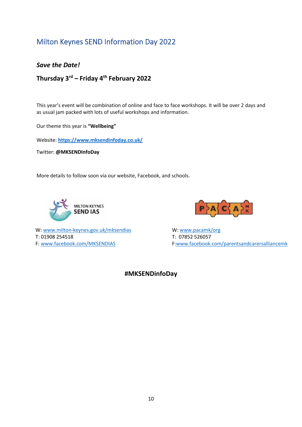### Milton Keynes SEND Information Day 2022

*Save the Date!*

**Thursday 3rd – Friday 4th February 2022**

This year's event will be combination of online and face to face workshops. It will be over 2 days and as usual jam packed with lots of useful workshops and information.

Our theme this year is **"Wellbeing"**

Website: **<https://www.mksendinfoday.co.uk/>**

Twitter: **@MKSENDInfoDay**

More details to follow soon via our website, Facebook, and schools.





W: [www.milton-keynes.gov.uk/mksendias](http://www.milton-keynes.gov.uk/mksendias) W: www.pacamk/org T: 01908 254518 T: 07852 526057 F[: www.facebook.com/MKSENDIAS](http://www.facebook.com/MKSENDIAS) F[:www.facebook.com/parentsandcarersalliancemk](http://www.facebook.com/parentsandcarersalliancemk)

**#MKSENDinfoDay**